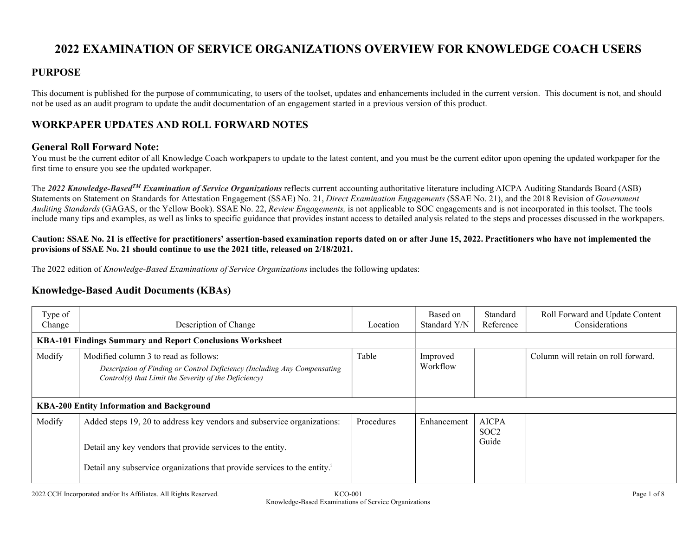# 2022 EXAMINATION OF SERVICE ORGANIZATIONS OVERVIEW FOR KNOWLEDGE COACH USERS

### PURPOSE

This document is published for the purpose of communicating, to users of the toolset, updates and enhancements included in the current version. This document is not, and should not be used as an audit program to update the audit documentation of an engagement started in a previous version of this product.

### WORKPAPER UPDATES AND ROLL FORWARD NOTES

### General Roll Forward Note:

You must be the current editor of all Knowledge Coach workpapers to update to the latest content, and you must be the current editor upon opening the updated workpaper for the first time to ensure you see the updated workpaper.

The 2022 Knowledge-Based<sup>TM</sup> Examination of Service Organizations reflects current accounting authoritative literature including AICPA Auditing Standards Board (ASB) Statements on Statement on Standards for Attestation Engagement (SSAE) No. 21, Direct Examination Engagements (SSAE No. 21), and the 2018 Revision of Government Auditing Standards (GAGAS, or the Yellow Book). SSAE No. 22, Review Engagements, is not applicable to SOC engagements and is not incorporated in this toolset. The tools include many tips and examples, as well as links to specific guidance that provides instant access to detailed analysis related to the steps and processes discussed in the workpapers.

#### Caution: SSAE No. 21 is effective for practitioners' assertion-based examination reports dated on or after June 15, 2022. Practitioners who have not implemented the provisions of SSAE No. 21 should continue to use the 2021 title, released on 2/18/2021.

The 2022 edition of Knowledge-Based Examinations of Service Organizations includes the following updates:

### Knowledge-Based Audit Documents (KBAs)

| Type of<br>Change                                         | Description of Change                                                                                                                                                                                                           | Location   | Based on<br>Standard Y/N | Standard<br>Reference                     | Roll Forward and Update Content<br>Considerations |
|-----------------------------------------------------------|---------------------------------------------------------------------------------------------------------------------------------------------------------------------------------------------------------------------------------|------------|--------------------------|-------------------------------------------|---------------------------------------------------|
| KBA-101 Findings Summary and Report Conclusions Worksheet |                                                                                                                                                                                                                                 |            |                          |                                           |                                                   |
| Modify                                                    | Modified column 3 to read as follows:<br>Description of Finding or Control Deficiency (Including Any Compensating<br>Control(s) that Limit the Severity of the Deficiency)                                                      | Table      | Improved<br>Workflow     |                                           | Column will retain on roll forward.               |
| <b>KBA-200 Entity Information and Background</b>          |                                                                                                                                                                                                                                 |            |                          |                                           |                                                   |
| Modify                                                    | Added steps 19, 20 to address key vendors and subservice organizations:<br>Detail any key vendors that provide services to the entity.<br>Detail any subservice organizations that provide services to the entity. <sup>i</sup> | Procedures | Enhancement              | <b>AICPA</b><br>SOC <sub>2</sub><br>Guide |                                                   |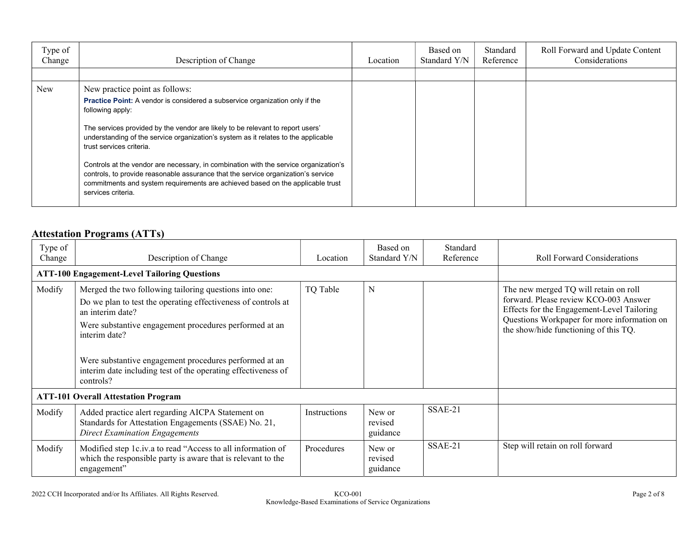| Type of<br>Change | Description of Change                                                                                                                                                                                                                                                                                                                                                                                                                                                                                                                                                                                                              | Location | Based on<br>Standard Y/N | Standard<br>Reference | Roll Forward and Update Content<br>Considerations |
|-------------------|------------------------------------------------------------------------------------------------------------------------------------------------------------------------------------------------------------------------------------------------------------------------------------------------------------------------------------------------------------------------------------------------------------------------------------------------------------------------------------------------------------------------------------------------------------------------------------------------------------------------------------|----------|--------------------------|-----------------------|---------------------------------------------------|
|                   |                                                                                                                                                                                                                                                                                                                                                                                                                                                                                                                                                                                                                                    |          |                          |                       |                                                   |
| New               | New practice point as follows:<br><b>Practice Point:</b> A vendor is considered a subservice organization only if the<br>following apply:<br>The services provided by the vendor are likely to be relevant to report users'<br>understanding of the service organization's system as it relates to the applicable<br>trust services criteria.<br>Controls at the vendor are necessary, in combination with the service organization's<br>controls, to provide reasonable assurance that the service organization's service<br>commitments and system requirements are achieved based on the applicable trust<br>services criteria. |          |                          |                       |                                                   |

## Attestation Programs (ATTs)

| Type of<br>Change                          | Description of Change                                                                                                                                                                                                                                                                                                                                          | Location     | Based on<br>Standard Y/N      | Standard<br>Reference | <b>Roll Forward Considerations</b>                                                                                                                                                                                   |
|--------------------------------------------|----------------------------------------------------------------------------------------------------------------------------------------------------------------------------------------------------------------------------------------------------------------------------------------------------------------------------------------------------------------|--------------|-------------------------------|-----------------------|----------------------------------------------------------------------------------------------------------------------------------------------------------------------------------------------------------------------|
|                                            | <b>ATT-100 Engagement-Level Tailoring Questions</b>                                                                                                                                                                                                                                                                                                            |              |                               |                       |                                                                                                                                                                                                                      |
| Modify                                     | Merged the two following tailoring questions into one:<br>Do we plan to test the operating effectiveness of controls at<br>an interim date?<br>Were substantive engagement procedures performed at an<br>interim date?<br>Were substantive engagement procedures performed at an<br>interim date including test of the operating effectiveness of<br>controls? | TQ Table     | $\mathbf N$                   |                       | The new merged TQ will retain on roll<br>forward. Please review KCO-003 Answer<br>Effects for the Engagement-Level Tailoring<br>Questions Workpaper for more information on<br>the show/hide functioning of this TQ. |
| <b>ATT-101 Overall Attestation Program</b> |                                                                                                                                                                                                                                                                                                                                                                |              |                               |                       |                                                                                                                                                                                                                      |
| Modify                                     | Added practice alert regarding AICPA Statement on<br>Standards for Attestation Engagements (SSAE) No. 21,<br><b>Direct Examination Engagements</b>                                                                                                                                                                                                             | Instructions | New or<br>revised<br>guidance | SSAE-21               |                                                                                                                                                                                                                      |
| Modify                                     | Modified step 1c.iv.a to read "Access to all information of<br>which the responsible party is aware that is relevant to the<br>engagement"                                                                                                                                                                                                                     | Procedures   | New or<br>revised<br>guidance | SSAE-21               | Step will retain on roll forward                                                                                                                                                                                     |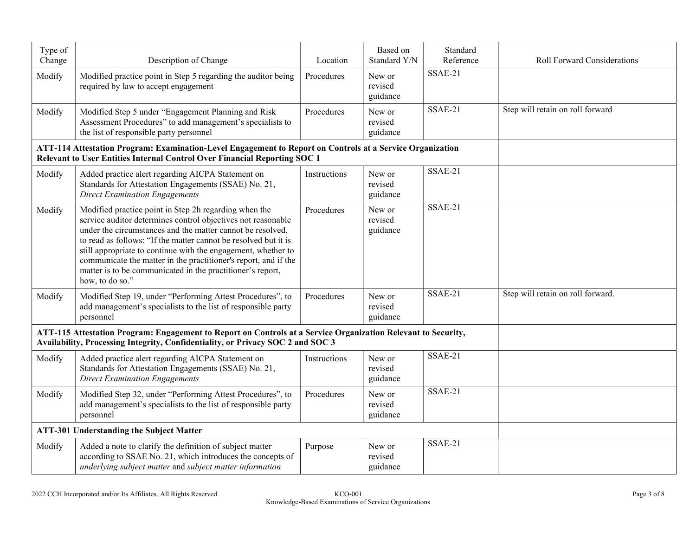| Type of<br>Change | Description of Change                                                                                                                                                                                                                                                                                                                                                                                                                                                       | Location     | Based on<br>Standard Y/N      | Standard<br>Reference | Roll Forward Considerations       |
|-------------------|-----------------------------------------------------------------------------------------------------------------------------------------------------------------------------------------------------------------------------------------------------------------------------------------------------------------------------------------------------------------------------------------------------------------------------------------------------------------------------|--------------|-------------------------------|-----------------------|-----------------------------------|
| Modify            | Modified practice point in Step 5 regarding the auditor being<br>required by law to accept engagement                                                                                                                                                                                                                                                                                                                                                                       | Procedures   | New or<br>revised<br>guidance | SSAE-21               |                                   |
| Modify            | Modified Step 5 under "Engagement Planning and Risk<br>Assessment Procedures" to add management's specialists to<br>the list of responsible party personnel                                                                                                                                                                                                                                                                                                                 | Procedures   | New or<br>revised<br>guidance | SSAE-21               | Step will retain on roll forward  |
|                   | ATT-114 Attestation Program: Examination-Level Engagement to Report on Controls at a Service Organization<br>Relevant to User Entities Internal Control Over Financial Reporting SOC 1                                                                                                                                                                                                                                                                                      |              |                               |                       |                                   |
| Modify            | Added practice alert regarding AICPA Statement on<br>Standards for Attestation Engagements (SSAE) No. 21,<br><b>Direct Examination Engagements</b>                                                                                                                                                                                                                                                                                                                          | Instructions | New or<br>revised<br>guidance | SSAE-21               |                                   |
| Modify            | Modified practice point in Step 2h regarding when the<br>service auditor determines control objectives not reasonable<br>under the circumstances and the matter cannot be resolved,<br>to read as follows: "If the matter cannot be resolved but it is<br>still appropriate to continue with the engagement, whether to<br>communicate the matter in the practitioner's report, and if the<br>matter is to be communicated in the practitioner's report,<br>how, to do so." | Procedures   | New or<br>revised<br>guidance | SSAE-21               |                                   |
| Modify            | Modified Step 19, under "Performing Attest Procedures", to<br>add management's specialists to the list of responsible party<br>personnel                                                                                                                                                                                                                                                                                                                                    | Procedures   | New or<br>revised<br>guidance | SSAE-21               | Step will retain on roll forward. |
|                   | ATT-115 Attestation Program: Engagement to Report on Controls at a Service Organization Relevant to Security,<br>Availability, Processing Integrity, Confidentiality, or Privacy SOC 2 and SOC 3                                                                                                                                                                                                                                                                            |              |                               |                       |                                   |
| Modify            | Added practice alert regarding AICPA Statement on<br>Standards for Attestation Engagements (SSAE) No. 21,<br><b>Direct Examination Engagements</b>                                                                                                                                                                                                                                                                                                                          | Instructions | New or<br>revised<br>guidance | SSAE-21               |                                   |
| Modify            | Modified Step 32, under "Performing Attest Procedures", to<br>add management's specialists to the list of responsible party<br>personnel                                                                                                                                                                                                                                                                                                                                    | Procedures   | New or<br>revised<br>guidance | SSAE-21               |                                   |
|                   | <b>ATT-301 Understanding the Subject Matter</b>                                                                                                                                                                                                                                                                                                                                                                                                                             |              |                               |                       |                                   |
| Modify            | Added a note to clarify the definition of subject matter<br>according to SSAE No. 21, which introduces the concepts of<br>underlying subject matter and subject matter information                                                                                                                                                                                                                                                                                          | Purpose      | New or<br>revised<br>guidance | SSAE-21               |                                   |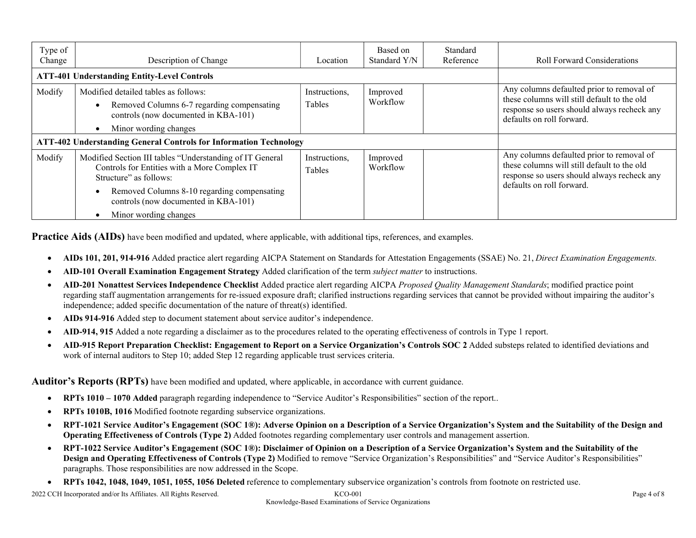| Type of<br>Change                                                        | Description of Change                                                                                                                               | Location                | Based on<br>Standard Y/N | Standard<br>Reference | <b>Roll Forward Considerations</b>                                                                                                                                   |
|--------------------------------------------------------------------------|-----------------------------------------------------------------------------------------------------------------------------------------------------|-------------------------|--------------------------|-----------------------|----------------------------------------------------------------------------------------------------------------------------------------------------------------------|
|                                                                          | <b>ATT-401 Understanding Entity-Level Controls</b>                                                                                                  |                         |                          |                       |                                                                                                                                                                      |
| Modify                                                                   | Modified detailed tables as follows:<br>Removed Columns 6-7 regarding compensating<br>controls (now documented in KBA-101)<br>Minor wording changes | Instructions,<br>Tables | Improved<br>Workflow     |                       | Any columns defaulted prior to removal of<br>these columns will still default to the old<br>response so users should always recheck any<br>defaults on roll forward. |
| <b>ATT-402 Understanding General Controls for Information Technology</b> |                                                                                                                                                     |                         |                          |                       |                                                                                                                                                                      |
| Modify                                                                   | Modified Section III tables "Understanding of IT General<br>Controls for Entities with a More Complex IT<br>Structure" as follows:                  | Instructions,<br>Tables | Improved<br>Workflow     |                       | Any columns defaulted prior to removal of<br>these columns will still default to the old<br>response so users should always recheck any<br>defaults on roll forward. |
|                                                                          | Removed Columns 8-10 regarding compensating<br>controls (now documented in KBA-101)                                                                 |                         |                          |                       |                                                                                                                                                                      |
|                                                                          | Minor wording changes                                                                                                                               |                         |                          |                       |                                                                                                                                                                      |

**Practice Aids (AIDs)** have been modified and updated, where applicable, with additional tips, references, and examples.

- AIDs 101, 201, 914-916 Added practice alert regarding AICPA Statement on Standards for Attestation Engagements (SSAE) No. 21, Direct Examination Engagements.
- AID-101 Overall Examination Engagement Strategy Added clarification of the term *subject matter* to instructions.
- AID-201 Nonattest Services Independence Checklist Added practice alert regarding AICPA Proposed Quality Management Standards; modified practice point regarding staff augmentation arrangements for re-issued exposure draft; clarified instructions regarding services that cannot be provided without impairing the auditor's independence; added specific documentation of the nature of threat(s) identified.
- AIDs 914-916 Added step to document statement about service auditor's independence.
- AID-914, 915 Added a note regarding a disclaimer as to the procedures related to the operating effectiveness of controls in Type 1 report.
- AID-915 Report Preparation Checklist: Engagement to Report on a Service Organization's Controls SOC 2 Added substeps related to identified deviations and work of internal auditors to Step 10; added Step 12 regarding applicable trust services criteria.

Auditor's Reports (RPTs) have been modified and updated, where applicable, in accordance with current guidance.

- RPTs 1010 1070 Added paragraph regarding independence to "Service Auditor's Responsibilities" section of the report..
- RPTs 1010B, 1016 Modified footnote regarding subservice organizations.
- RPT-1021 Service Auditor's Engagement (SOC 1®): Adverse Opinion on a Description of a Service Organization's System and the Suitability of the Design and Operating Effectiveness of Controls (Type 2) Added footnotes regarding complementary user controls and management assertion.
- RPT-1022 Service Auditor's Engagement (SOC 1®): Disclaimer of Opinion on a Description of a Service Organization's System and the Suitability of the Design and Operating Effectiveness of Controls (Type 2) Modified to remove "Service Organization's Responsibilities" and "Service Auditor's Responsibilities" paragraphs. Those responsibilities are now addressed in the Scope.
- RPTs 1042, 1048, 1049, 1051, 1055, 1056 Deleted reference to complementary subservice organization's controls from footnote on restricted use.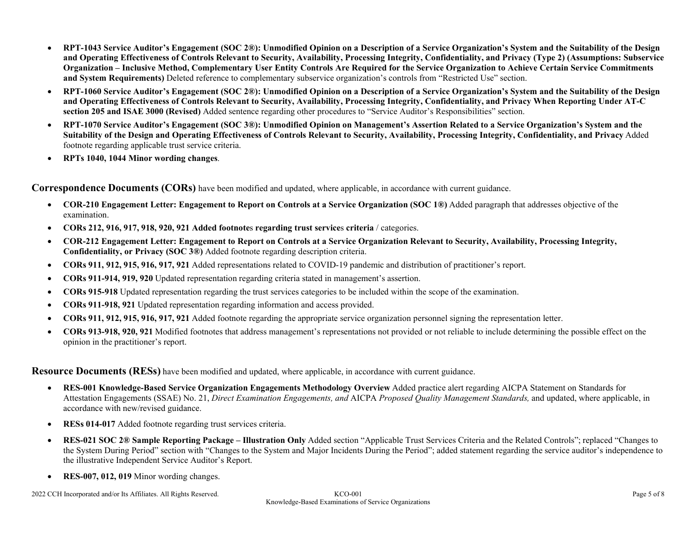- RPT-1043 Service Auditor's Engagement (SOC 2®): Unmodified Opinion on a Description of a Service Organization's System and the Suitability of the Design and Operating Effectiveness of Controls Relevant to Security, Availability, Processing Integrity, Confidentiality, and Privacy (Type 2) (Assumptions: Subservice Organization – Inclusive Method, Complementary User Entity Controls Are Required for the Service Organization to Achieve Certain Service Commitments and System Requirements) Deleted reference to complementary subservice organization's controls from "Restricted Use" section.
- RPT-1060 Service Auditor's Engagement (SOC 2®): Unmodified Opinion on a Description of a Service Organization's System and the Suitability of the Design and Operating Effectiveness of Controls Relevant to Security, Availability, Processing Integrity, Confidentiality, and Privacy When Reporting Under AT-C section 205 and ISAE 3000 (Revised) Added sentence regarding other procedures to "Service Auditor's Responsibilities" section.
- RPT-1070 Service Auditor's Engagement (SOC 3®): Unmodified Opinion on Management's Assertion Related to a Service Organization's System and the Suitability of the Design and Operating Effectiveness of Controls Relevant to Security, Availability, Processing Integrity, Confidentiality, and Privacy Added footnote regarding applicable trust service criteria.
- RPTs 1040, 1044 Minor wording changes.

Correspondence Documents (CORs) have been modified and updated, where applicable, in accordance with current guidance.

- COR-210 Engagement Letter: Engagement to Report on Controls at a Service Organization (SOC 1<sup>®</sup>) Added paragraph that addresses objective of the examination.
- CORs 212, 916, 917, 918, 920, 921 Added footnotes regarding trust services criteria / categories.
- COR-212 Engagement Letter: Engagement to Report on Controls at a Service Organization Relevant to Security, Availability, Processing Integrity, Confidentiality, or Privacy (SOC 3®) Added footnote regarding description criteria.
- CORs 911, 912, 915, 916, 917, 921 Added representations related to COVID-19 pandemic and distribution of practitioner's report.
- CORs 911-914, 919, 920 Updated representation regarding criteria stated in management's assertion.
- CORs 915-918 Updated representation regarding the trust services categories to be included within the scope of the examination.
- CORs 911-918, 921 Updated representation regarding information and access provided.
- CORs 911, 912, 915, 916, 917, 921 Added footnote regarding the appropriate service organization personnel signing the representation letter.
- CORs 913-918, 920, 921 Modified footnotes that address management's representations not provided or not reliable to include determining the possible effect on the opinion in the practitioner's report.

**Resource Documents (RESs)** have been modified and updated, where applicable, in accordance with current guidance.

- RES-001 Knowledge-Based Service Organization Engagements Methodology Overview Added practice alert regarding AICPA Statement on Standards for Attestation Engagements (SSAE) No. 21, Direct Examination Engagements, and AICPA Proposed Quality Management Standards, and updated, where applicable, in accordance with new/revised guidance.
- RESs 014-017 Added footnote regarding trust services criteria.
- RES-021 SOC 2® Sample Reporting Package Illustration Only Added section "Applicable Trust Services Criteria and the Related Controls"; replaced "Changes to the System During Period" section with "Changes to the System and Major Incidents During the Period"; added statement regarding the service auditor's independence to the illustrative Independent Service Auditor's Report.
- RES-007, 012, 019 Minor wording changes.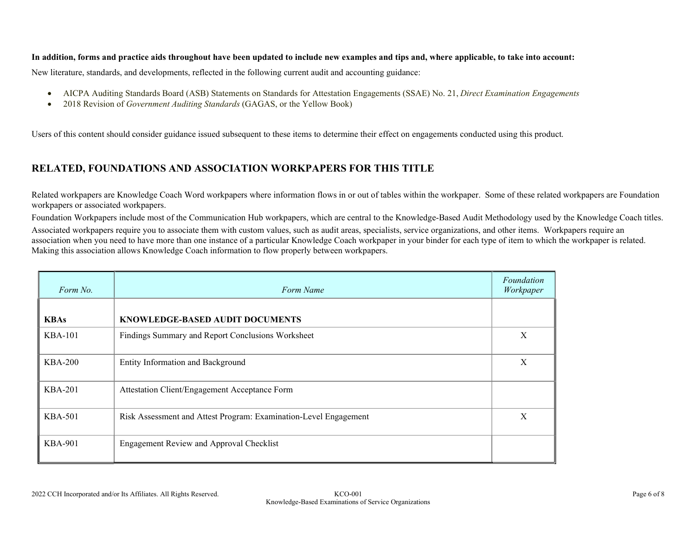#### In addition, forms and practice aids throughout have been updated to include new examples and tips and, where applicable, to take into account:

New literature, standards, and developments, reflected in the following current audit and accounting guidance:

- AICPA Auditing Standards Board (ASB) Statements on Standards for Attestation Engagements (SSAE) No. 21, Direct Examination Engagements
- 2018 Revision of *Government Auditing Standards* (GAGAS, or the Yellow Book)

Users of this content should consider guidance issued subsequent to these items to determine their effect on engagements conducted using this product.

### RELATED, FOUNDATIONS AND ASSOCIATION WORKPAPERS FOR THIS TITLE

Related workpapers are Knowledge Coach Word workpapers where information flows in or out of tables within the workpaper. Some of these related workpapers are Foundation workpapers or associated workpapers.

Foundation Workpapers include most of the Communication Hub workpapers, which are central to the Knowledge-Based Audit Methodology used by the Knowledge Coach titles. Associated workpapers require you to associate them with custom values, such as audit areas, specialists, service organizations, and other items. Workpapers require an association when you need to have more than one instance of a particular Knowledge Coach workpaper in your binder for each type of item to which the workpaper is related. Making this association allows Knowledge Coach information to flow properly between workpapers.

| Form No.       | Form Name                                                        | Foundation<br>Workpaper |
|----------------|------------------------------------------------------------------|-------------------------|
| <b>KBAs</b>    | KNOWLEDGE-BASED AUDIT DOCUMENTS                                  |                         |
| $KBA-101$      | Findings Summary and Report Conclusions Worksheet                | X                       |
| $KBA-200$      | Entity Information and Background                                | X                       |
| <b>KBA-201</b> | Attestation Client/Engagement Acceptance Form                    |                         |
| <b>KBA-501</b> | Risk Assessment and Attest Program: Examination-Level Engagement | X                       |
| <b>KBA-901</b> | Engagement Review and Approval Checklist                         |                         |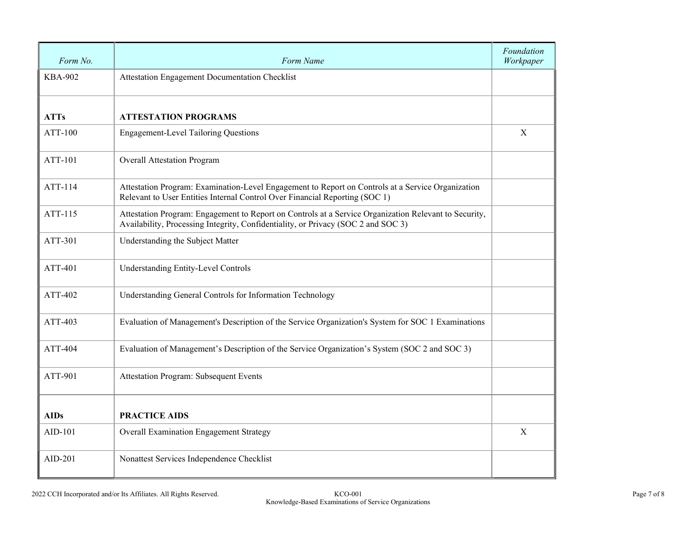| Form No.       | Form Name                                                                                                                                                                                  | Foundation<br>Workpaper |
|----------------|--------------------------------------------------------------------------------------------------------------------------------------------------------------------------------------------|-------------------------|
| <b>KBA-902</b> | Attestation Engagement Documentation Checklist                                                                                                                                             |                         |
| <b>ATTs</b>    | <b>ATTESTATION PROGRAMS</b>                                                                                                                                                                |                         |
| ATT-100        | <b>Engagement-Level Tailoring Questions</b>                                                                                                                                                | X                       |
| ATT-101        | <b>Overall Attestation Program</b>                                                                                                                                                         |                         |
| ATT-114        | Attestation Program: Examination-Level Engagement to Report on Controls at a Service Organization<br>Relevant to User Entities Internal Control Over Financial Reporting (SOC 1)           |                         |
| ATT-115        | Attestation Program: Engagement to Report on Controls at a Service Organization Relevant to Security,<br>Availability, Processing Integrity, Confidentiality, or Privacy (SOC 2 and SOC 3) |                         |
| ATT-301        | Understanding the Subject Matter                                                                                                                                                           |                         |
| ATT-401        | Understanding Entity-Level Controls                                                                                                                                                        |                         |
| ATT-402        | Understanding General Controls for Information Technology                                                                                                                                  |                         |
| ATT-403        | Evaluation of Management's Description of the Service Organization's System for SOC 1 Examinations                                                                                         |                         |
| ATT-404        | Evaluation of Management's Description of the Service Organization's System (SOC 2 and SOC 3)                                                                                              |                         |
| ATT-901        | Attestation Program: Subsequent Events                                                                                                                                                     |                         |
| <b>AIDs</b>    | <b>PRACTICE AIDS</b>                                                                                                                                                                       |                         |
| AID-101        | Overall Examination Engagement Strategy                                                                                                                                                    | X                       |
| $AID-201$      | Nonattest Services Independence Checklist                                                                                                                                                  |                         |